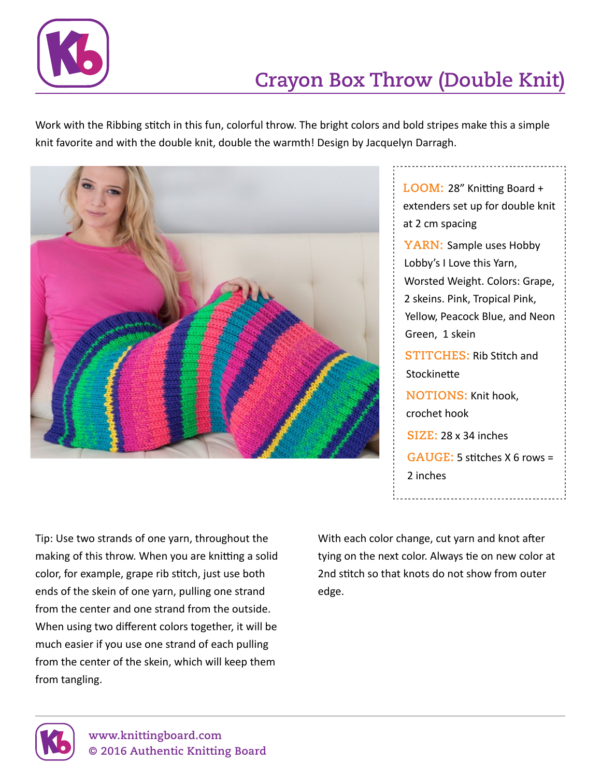

## **Crayon Box Throw (Double Knit)**

Work with the Ribbing stitch in this fun, colorful throw. The bright colors and bold stripes make this a simple knit favorite and with the double knit, double the warmth! Design by Jacquelyn Darragh.



**Loom:** 28" Knitting Board + extenders set up for double knit at 2 cm spacing **YARN: Sample uses Hobby** Lobby's I Love this Yarn, Worsted Weight. Colors: Grape, 2 skeins. Pink, Tropical Pink, Yellow, Peacock Blue, and Neon Green, 1 skein **STITCHES: Rib Stitch and Stockinette NOTIONS:** Knit hook, crochet hook **Size:** 28 x 34 inches **Gauge:** 5 stitches X 6 rows = 2 inches

Tip: Use two strands of one yarn, throughout the making of this throw. When you are knitting a solid color, for example, grape rib stitch, just use both ends of the skein of one yarn, pulling one strand from the center and one strand from the outside. When using two different colors together, it will be much easier if you use one strand of each pulling from the center of the skein, which will keep them from tangling.

With each color change, cut yarn and knot after tying on the next color. Always tie on new color at 2nd stitch so that knots do not show from outer edge.

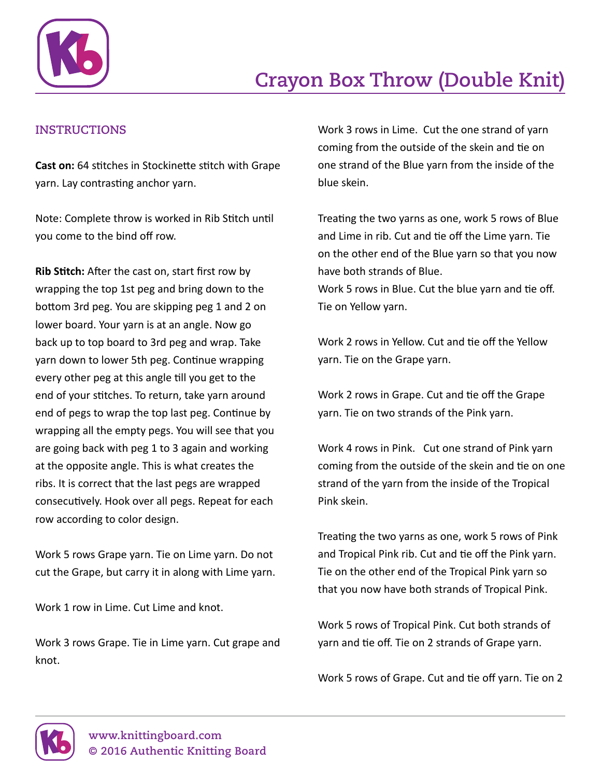

## **Instructions**

**Cast on:** 64 stitches in Stockinette stitch with Grape yarn. Lay contrasting anchor yarn.

Note: Complete throw is worked in Rib Stitch until you come to the bind off row.

**Rib Stitch:** After the cast on, start first row by wrapping the top 1st peg and bring down to the bottom 3rd peg. You are skipping peg 1 and 2 on lower board. Your yarn is at an angle. Now go back up to top board to 3rd peg and wrap. Take yarn down to lower 5th peg. Continue wrapping every other peg at this angle till you get to the end of your stitches. To return, take yarn around end of pegs to wrap the top last peg. Continue by wrapping all the empty pegs. You will see that you are going back with peg 1 to 3 again and working at the opposite angle. This is what creates the ribs. It is correct that the last pegs are wrapped consecutively. Hook over all pegs. Repeat for each row according to color design.

Work 5 rows Grape yarn. Tie on Lime yarn. Do not cut the Grape, but carry it in along with Lime yarn.

Work 1 row in Lime. Cut Lime and knot.

Work 3 rows Grape. Tie in Lime yarn. Cut grape and knot.

Work 3 rows in Lime. Cut the one strand of yarn coming from the outside of the skein and tie on one strand of the Blue yarn from the inside of the blue skein.

Treating the two yarns as one, work 5 rows of Blue and Lime in rib. Cut and tie off the Lime yarn. Tie on the other end of the Blue yarn so that you now have both strands of Blue. Work 5 rows in Blue. Cut the blue yarn and tie off. Tie on Yellow yarn.

Work 2 rows in Yellow. Cut and tie off the Yellow yarn. Tie on the Grape yarn.

Work 2 rows in Grape. Cut and tie off the Grape yarn. Tie on two strands of the Pink yarn.

Work 4 rows in Pink. Cut one strand of Pink yarn coming from the outside of the skein and tie on one strand of the yarn from the inside of the Tropical Pink skein.

Treating the two yarns as one, work 5 rows of Pink and Tropical Pink rib. Cut and tie off the Pink yarn. Tie on the other end of the Tropical Pink yarn so that you now have both strands of Tropical Pink.

Work 5 rows of Tropical Pink. Cut both strands of yarn and tie off. Tie on 2 strands of Grape yarn.

Work 5 rows of Grape. Cut and tie off yarn. Tie on 2